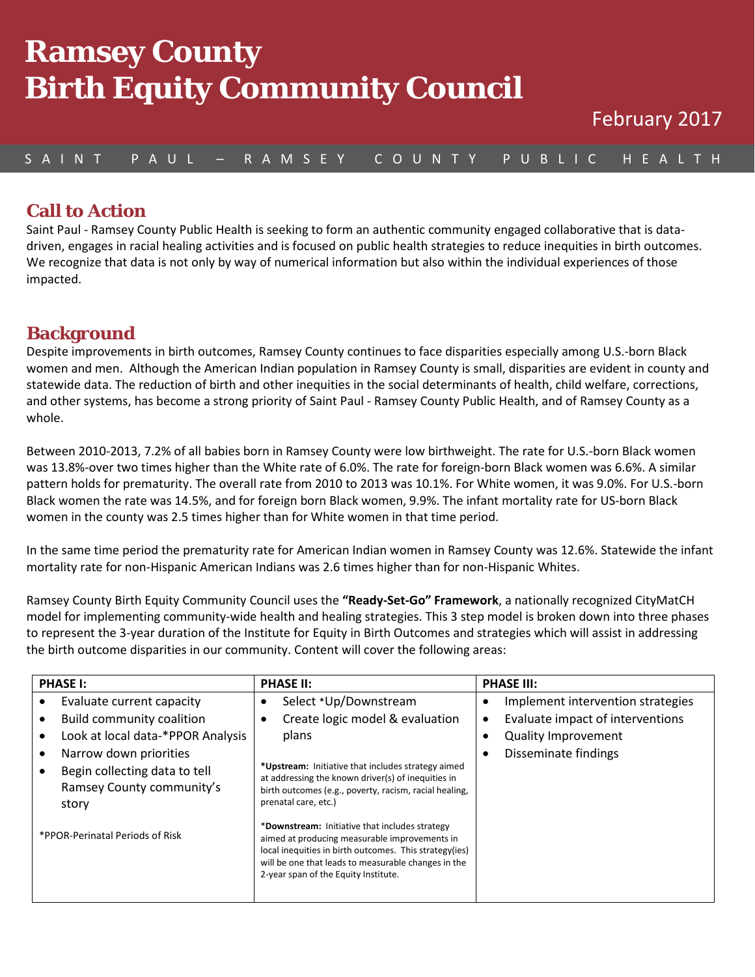# mental County<br>Inth Fauity Commun we can  $\equiv$ **y** they communicy **Ramsey County Birth Equity Community Council**

## S A I N T P A U L – R A M S E Y C O U N T Y P U B L I C H E A L T H

#### **Call to Action**

Saint Paul - Ramsey County Public Health is seeking to form an authentic community engaged collaborative that is datadriven, engages in racial healing activities and is focused on public health strategies to reduce inequities in birth outcomes. We recognize that data is not only by way of numerical information but also within the individual experiences of those impacted.

### **Background**

Despite improvements in birth outcomes, Ramsey County continues to face disparities especially among U.S.-born Black women and men. Although the American Indian population in Ramsey County is small, disparities are evident in county and statewide data. The reduction of birth and other inequities in the social determinants of health, child welfare, corrections, and other systems, has become a strong priority of Saint Paul - Ramsey County Public Health, and of Ramsey County as a whole.

Between 2010-2013, 7.2% of all babies born in Ramsey County were low birthweight. The rate for U.S.-born Black women was 13.8%-over two times higher than the White rate of 6.0%. The rate for foreign-born Black women was 6.6%. A similar pattern holds for prematurity. The overall rate from 2010 to 2013 was 10.1%. For White women, it was 9.0%. For U.S.-born Black women the rate was 14.5%, and for foreign born Black women, 9.9%. The infant mortality rate for US-born Black women in the county was 2.5 times higher than for White women in that time period.

In the same time period the prematurity rate for American Indian women in Ramsey County was 12.6%. Statewide the infant mortality rate for non-Hispanic American Indians was 2.6 times higher than for non-Hispanic Whites.

Ramsey County Birth Equity Community Council uses the **"Ready-Set-Go" Framework**, a nationally recognized CityMatCH model for implementing community-wide health and healing strategies. This 3 step model is broken down into three phases to represent the 3-year duration of the Institute for Equity in Birth Outcomes and strategies which will assist in addressing the birth outcome disparities in our community. Content will cover the following areas:

| <b>PHASE I:</b>                                                                                                                                                                            | <b>PHASE II:</b>                                                                                                                                                                                                                                                          | <b>PHASE III:</b>                                                                                                                                                  |
|--------------------------------------------------------------------------------------------------------------------------------------------------------------------------------------------|---------------------------------------------------------------------------------------------------------------------------------------------------------------------------------------------------------------------------------------------------------------------------|--------------------------------------------------------------------------------------------------------------------------------------------------------------------|
| Evaluate current capacity<br><b>Build community coalition</b><br>Look at local data-*PPOR Analysis<br>Narrow down priorities<br>Begin collecting data to tell<br>Ramsey County community's | Select *Up/Downstream<br>٠<br>Create logic model & evaluation<br>٠<br>plans<br>*Upstream: Initiative that includes strategy aimed<br>at addressing the known driver(s) of inequities in<br>birth outcomes (e.g., poverty, racism, racial healing,<br>prenatal care, etc.) | Implement intervention strategies<br>$\bullet$<br>Evaluate impact of interventions<br>$\bullet$<br><b>Quality Improvement</b><br>$\bullet$<br>Disseminate findings |
| story<br>*PPOR-Perinatal Periods of Risk                                                                                                                                                   | *Downstream: Initiative that includes strategy<br>aimed at producing measurable improvements in<br>local inequities in birth outcomes. This strategy(ies)<br>will be one that leads to measurable changes in the<br>2-year span of the Equity Institute.                  |                                                                                                                                                                    |